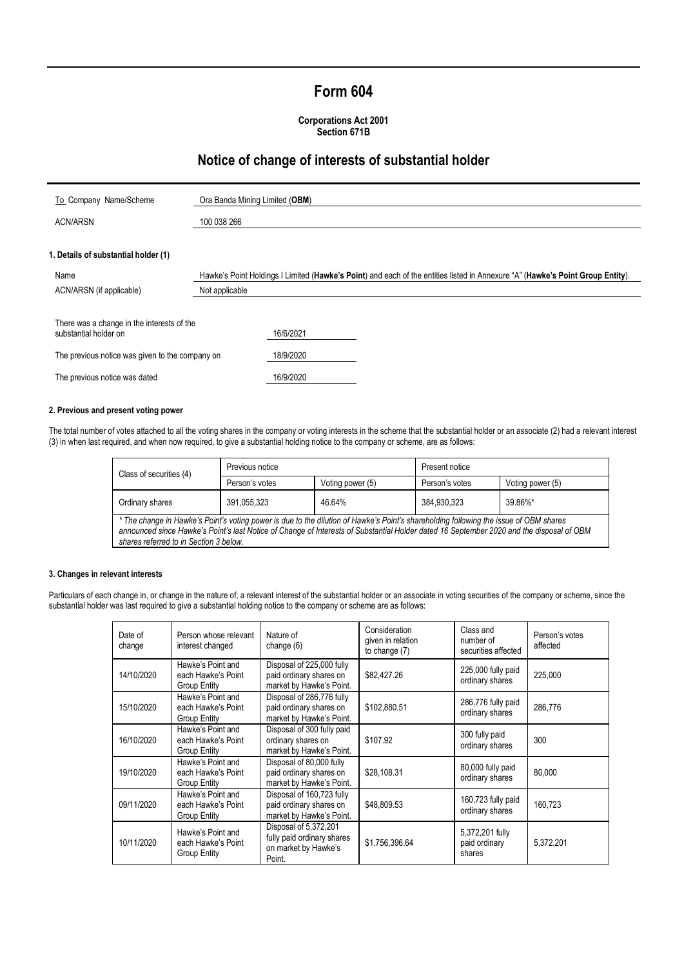# **Form 604**

### **Corporations Act 2001 Section 671B**

## **Notice of change of interests of substantial holder**

| To Company Name/Scheme                                                                                                                                  | Ora Banda Mining Limited (OBM)                                                                                                 |                                     |  |
|---------------------------------------------------------------------------------------------------------------------------------------------------------|--------------------------------------------------------------------------------------------------------------------------------|-------------------------------------|--|
| <b>ACN/ARSN</b>                                                                                                                                         | 100 038 266                                                                                                                    |                                     |  |
| 1. Details of substantial holder (1)                                                                                                                    |                                                                                                                                |                                     |  |
| Name                                                                                                                                                    | Hawke's Point Holdings I Limited (Hawke's Point) and each of the entities listed in Annexure "A" (Hawke's Point Group Entity). |                                     |  |
| ACN/ARSN (if applicable)                                                                                                                                | Not applicable                                                                                                                 |                                     |  |
| There was a change in the interests of the<br>substantial holder on<br>The previous notice was given to the company on<br>The previous notice was dated |                                                                                                                                | 16/6/2021<br>18/9/2020<br>16/9/2020 |  |

## **2. Previous and present voting power**

The total number of votes attached to all the voting shares in the company or voting interests in the scheme that the substantial holder or an associate (2) had a relevant interest (3) in when last required, and when now required, to give a substantial holding notice to the company or scheme, are as follows:

| Class of securities (4)                                                                                                                                                                                                                                                                                                     | Previous notice |                  | Present notice |                  |  |
|-----------------------------------------------------------------------------------------------------------------------------------------------------------------------------------------------------------------------------------------------------------------------------------------------------------------------------|-----------------|------------------|----------------|------------------|--|
|                                                                                                                                                                                                                                                                                                                             | Person's votes  | Voting power (5) | Person's votes | Voting power (5) |  |
| Ordinary shares                                                                                                                                                                                                                                                                                                             | 391,055,323     | 46.64%           | 384,930,323    | 39.86%*          |  |
| * The change in Hawke's Point's voting power is due to the dilution of Hawke's Point's shareholding following the issue of OBM shares<br>announced since Hawke's Point's last Notice of Change of Interests of Substantial Holder dated 16 September 2020 and the disposal of OBM<br>shares referred to in Section 3 below. |                 |                  |                |                  |  |

#### **3. Changes in relevant interests**

Particulars of each change in, or change in the nature of, a relevant interest of the substantial holder or an associate in voting securities of the company or scheme, since the substantial holder was last required to give a substantial holding notice to the company or scheme are as follows:

| Date of<br>change | Person whose relevant<br>interest changed                      | Nature of<br>change $(6)$                                                             | Consideration<br>given in relation<br>to change (7) | Class and<br>number of<br>securities affected | Person's votes<br>affected |
|-------------------|----------------------------------------------------------------|---------------------------------------------------------------------------------------|-----------------------------------------------------|-----------------------------------------------|----------------------------|
| 14/10/2020        | Hawke's Point and<br>each Hawke's Point<br><b>Group Entity</b> | Disposal of 225,000 fully<br>paid ordinary shares on<br>market by Hawke's Point.      | \$82,427.26                                         | 225,000 fully paid<br>ordinary shares         | 225,000                    |
| 15/10/2020        | Hawke's Point and<br>each Hawke's Point<br>Group Entity        | Disposal of 286,776 fully<br>paid ordinary shares on<br>market by Hawke's Point.      | \$102,880.51                                        | 286,776 fully paid<br>ordinary shares         | 286.776                    |
| 16/10/2020        | Hawke's Point and<br>each Hawke's Point<br><b>Group Entity</b> | Disposal of 300 fully paid<br>ordinary shares on<br>market by Hawke's Point.          | \$107.92                                            | 300 fully paid<br>ordinary shares             | 300                        |
| 19/10/2020        | Hawke's Point and<br>each Hawke's Point<br><b>Group Entity</b> | Disposal of 80,000 fully<br>paid ordinary shares on<br>market by Hawke's Point.       | \$28,108.31                                         | 80,000 fully paid<br>ordinary shares          | 80.000                     |
| 09/11/2020        | Hawke's Point and<br>each Hawke's Point<br>Group Entity        | Disposal of 160,723 fully<br>paid ordinary shares on<br>market by Hawke's Point.      | \$48,809.53                                         | 160,723 fully paid<br>ordinary shares         | 160,723                    |
| 10/11/2020        | Hawke's Point and<br>each Hawke's Point<br><b>Group Entity</b> | Disposal of 5,372,201<br>fully paid ordinary shares<br>on market by Hawke's<br>Point. | \$1,756,396.64                                      | 5,372,201 fully<br>paid ordinary<br>shares    | 5,372,201                  |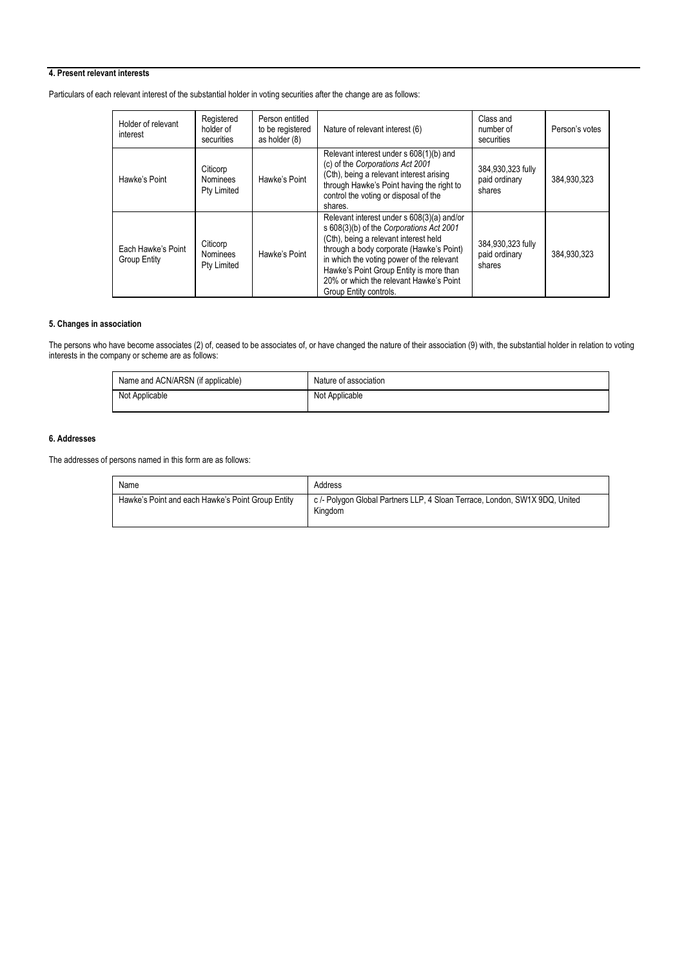## **4. Present relevant interests**

Particulars of each relevant interest of the substantial holder in voting securities after the change are as follows:

| Holder of relevant<br>interest     | Registered<br>holder of<br>securities      | Person entitled<br>to be registered<br>as holder (8) | Nature of relevant interest (6)                                                                                                                                                                                                                                                                                                          | Class and<br>number of<br>securities         | Person's votes |
|------------------------------------|--------------------------------------------|------------------------------------------------------|------------------------------------------------------------------------------------------------------------------------------------------------------------------------------------------------------------------------------------------------------------------------------------------------------------------------------------------|----------------------------------------------|----------------|
| Hawke's Point                      | Citicorp<br><b>Nominees</b><br>Pty Limited | Hawke's Point                                        | Relevant interest under s 608(1)(b) and<br>(c) of the Corporations Act 2001<br>(Cth), being a relevant interest arising<br>through Hawke's Point having the right to<br>control the voting or disposal of the<br>shares.                                                                                                                 | 384,930,323 fully<br>paid ordinary<br>shares | 384,930,323    |
| Each Hawke's Point<br>Group Entity | Citicorp<br>Nominees<br>Pty Limited        | Hawke's Point                                        | Relevant interest under s 608(3)(a) and/or<br>s 608(3)(b) of the Corporations Act 2001<br>(Cth), being a relevant interest held<br>through a body corporate (Hawke's Point)<br>in which the voting power of the relevant<br>Hawke's Point Group Entity is more than<br>20% or which the relevant Hawke's Point<br>Group Entity controls. | 384,930,323 fully<br>paid ordinary<br>shares | 384.930.323    |

## **5. Changes in association**

The persons who have become associates (2) of, ceased to be associates of, or have changed the nature of their association (9) with, the substantial holder in relation to voting interests in the company or scheme are as follows:

| Name and ACN/ARSN (if applicable) | Nature of association |
|-----------------------------------|-----------------------|
| Not Applicable                    | Not Applicable        |

### **6. Addresses**

The addresses of persons named in this form are as follows:

| Name                                              | Address                                                                                |
|---------------------------------------------------|----------------------------------------------------------------------------------------|
| Hawke's Point and each Hawke's Point Group Entity | c /- Polygon Global Partners LLP, 4 Sloan Terrace, London, SW1X 9DQ, United<br>Kingdom |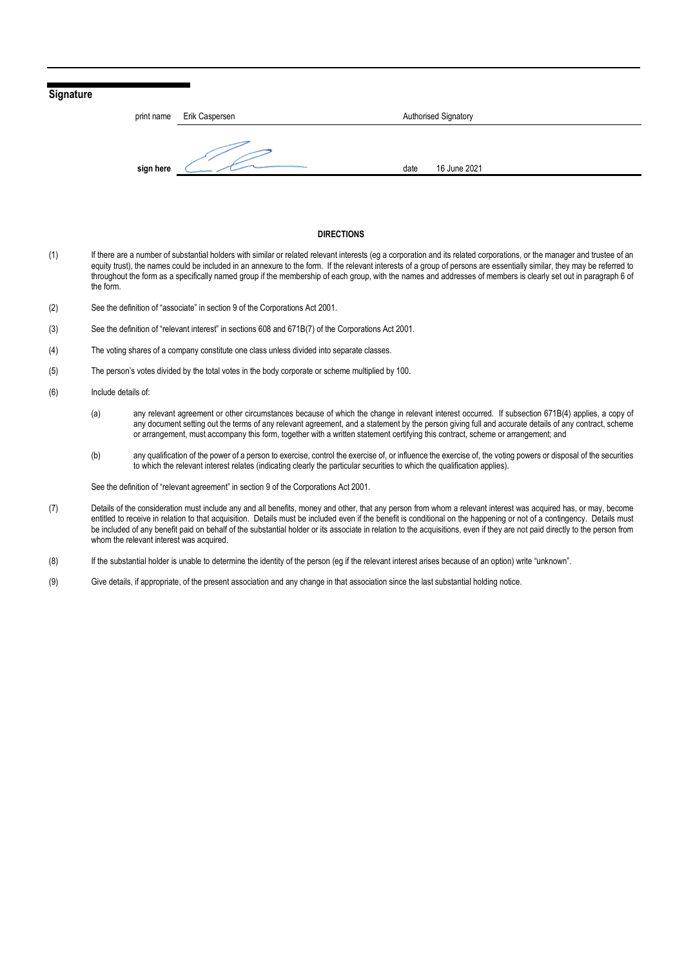## **Signature**

| print name | Erik Caspersen | Authorised Signatory |  |
|------------|----------------|----------------------|--|
| sign here  |                | 16 June 2021<br>date |  |

#### **DIRECTIONS**

- (1) If there are a number of substantial holders with similar or related relevant interests (eg a corporation and its related corporations, or the manager and trustee of an equity trust), the names could be included in an annexure to the form. If the relevant interests of a group of persons are essentially similar, they may be referred to throughout the form as a specifically named group if the membership of each group, with the names and addresses of members is clearly set out in paragraph 6 of the form.
- (2) See the definition of "associate" in section 9 of the Corporations Act 2001.
- (3) See the definition of "relevant interest" in sections 608 and 671B(7) of the Corporations Act 2001.
- (4) The voting shares of a company constitute one class unless divided into separate classes.
- (5) The person's votes divided by the total votes in the body corporate or scheme multiplied by 100.
- (6) Include details of:
	- (a) any relevant agreement or other circumstances because of which the change in relevant interest occurred. If subsection 671B(4) applies, a copy of any document setting out the terms of any relevant agreement, and a statement by the person giving full and accurate details of any contract, scheme or arrangement, must accompany this form, together with a written statement certifying this contract, scheme or arrangement; and
	- (b) any qualification of the power of a person to exercise, control the exercise of, or influence the exercise of, the voting powers or disposal of the securities to which the relevant interest relates (indicating clearly the particular securities to which the qualification applies).

See the definition of "relevant agreement" in section 9 of the Corporations Act 2001.

- (7) Details of the consideration must include any and all benefits, money and other, that any person from whom a relevant interest was acquired has, or may, become entitled to receive in relation to that acquisition. Details must be included even if the benefit is conditional on the happening or not of a contingency. Details must be included of any benefit paid on behalf of the substantial holder or its associate in relation to the acquisitions, even if they are not paid directly to the person from whom the relevant interest was acquired.
- (8) If the substantial holder is unable to determine the identity of the person (eg if the relevant interest arises because of an option) write "unknown".
- (9) Give details, if appropriate, of the present association and any change in that association since the last substantial holding notice.